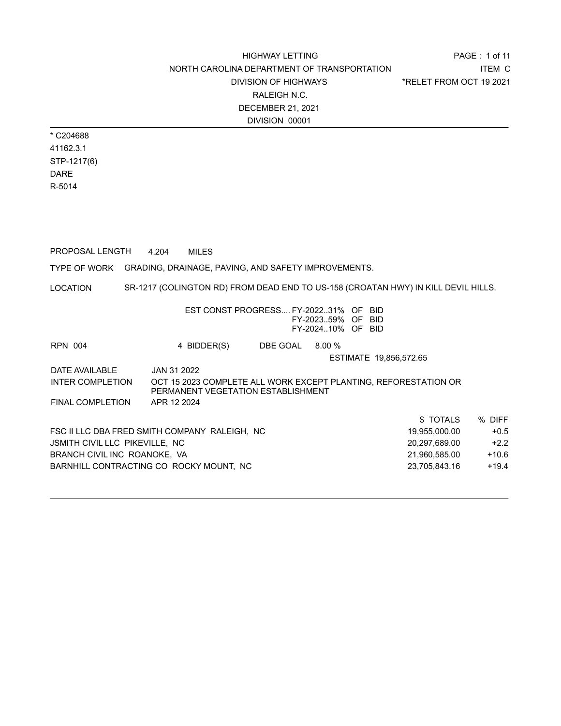\* C204688 41162.3.1 STP-1217(6) DARE R-5014

PROPOSAL LENGTH 4.204 MILES

TYPE OF WORK GRADING, DRAINAGE, PAVING, AND SAFETY IMPROVEMENTS.

LOCATION SR-1217 (COLINGTON RD) FROM DEAD END TO US-158 (CROATAN HWY) IN KILL DEVIL HILLS.

|                                | EST CONST PROGRESS FY-202231% OF BID          |          |                   |                                                                 |         |
|--------------------------------|-----------------------------------------------|----------|-------------------|-----------------------------------------------------------------|---------|
|                                |                                               |          | FY-202359% OF BID |                                                                 |         |
|                                |                                               |          | FY-202410% OF BID |                                                                 |         |
| <b>RPN 004</b>                 | 4 BIDDER(S)                                   | DBE GOAL | 8.00%             |                                                                 |         |
|                                |                                               |          |                   | ESTIMATE 19,856,572.65                                          |         |
| DATE AVAILABLE                 | JAN 31 2022                                   |          |                   |                                                                 |         |
| <b>INTER COMPLETION</b>        |                                               |          |                   | OCT 15 2023 COMPLETE ALL WORK EXCEPT PLANTING, REFORESTATION OR |         |
|                                | PERMANENT VEGETATION ESTABLISHMENT            |          |                   |                                                                 |         |
| FINAL COMPLETION               | APR 12 2024                                   |          |                   |                                                                 |         |
|                                |                                               |          |                   | \$TOTALS                                                        | % DIFF  |
|                                | FSC II LLC DBA FRED SMITH COMPANY RALEIGH, NC |          |                   | 19,955,000.00                                                   | $+0.5$  |
| JSMITH CIVIL LLC PIKEVILLE, NC |                                               |          |                   | 20.297.689.00                                                   | $+2.2$  |
| BRANCH CIVIL INC ROANOKE. VA   |                                               |          |                   | 21,960,585.00                                                   | $+10.6$ |
|                                | BARNHILL CONTRACTING CO ROCKY MOUNT, NC       |          |                   | 23,705,843.16                                                   | $+19.4$ |
|                                |                                               |          |                   |                                                                 |         |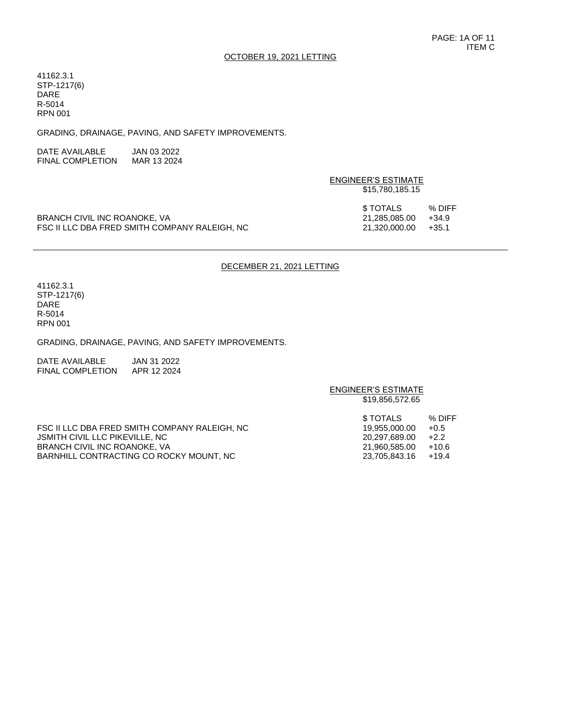#### OCTOBER 19, 2021 LETTING

41162.3.1 STP-1217(6) DARE R-5014 RPN 001

GRADING, DRAINAGE, PAVING, AND SAFETY IMPROVEMENTS.

| DATE AVAILABLE          | JAN 03 2022 |
|-------------------------|-------------|
| <b>FINAL COMPLETION</b> | MAR 13 2024 |

|                                               | ENGINEER'S ESTIMATE<br>\$15,780,185.15 |                 |  |
|-----------------------------------------------|----------------------------------------|-----------------|--|
| BRANCH CIVIL INC ROANOKE, VA                  | \$ TOTALS<br>21.285.085.00             | % DIFF<br>+34.9 |  |
| FSC II LLC DBA FRED SMITH COMPANY RALEIGH. NC | 21.320.000.00                          | $+35.1$         |  |

#### DECEMBER 21, 2021 LETTING

ENGINEER'S ESTIMATE

41162.3.1 STP-1217(6) DARE R-5014 RPN 001

GRADING, DRAINAGE, PAVING, AND SAFETY IMPROVEMENTS.

DATE AVAILABLE JAN 31 2022 FINAL COMPLETION APR 12 2024

\$19,856,572.65 \$ TOTALS % DIFF FSC II LLC DBA FRED SMITH COMPANY RALEIGH, NC 19,955,000.00 +0.5 JSMITH CIVIL LLC PIKEVILLE, NC 20,297,689.00 +2.2 BRANCH CIVIL INC ROANOKE, VA<br>BARNHILL CONTRACTING CO ROCKY MOUNT, NC  $23,705,843.16$  +19.4 BARNHILL CONTRACTING CO ROCKY MOUNT, NC  $23,705,843.16$  +19.4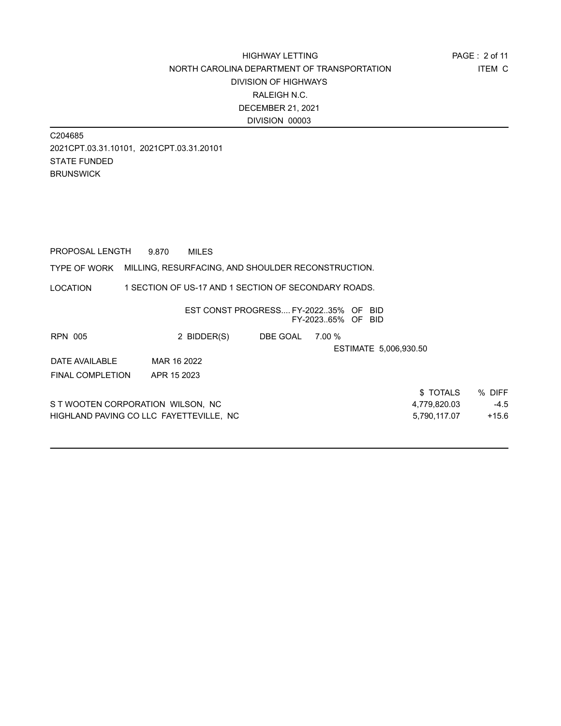C204685 2021CPT.03.31.10101, 2021CPT.03.31.20101 STATE FUNDED **BRUNSWICK** 

PROPOSAL LENGTH 9.870 MILES

#### TYPE OF WORK MILLING, RESURFACING, AND SHOULDER RECONSTRUCTION.

LOCATION 1 SECTION OF US-17 AND 1 SECTION OF SECONDARY ROADS.

|                                   |                                         | EST CONST PROGRESS FY-202235% OF BID |                   |                       |         |
|-----------------------------------|-----------------------------------------|--------------------------------------|-------------------|-----------------------|---------|
|                                   |                                         |                                      | FY-202365% OF BID |                       |         |
| <b>RPN 005</b>                    | 2 BIDDER(S)                             | DBE GOAL                             | 7.00 %            |                       |         |
|                                   |                                         |                                      |                   | ESTIMATE 5,006,930.50 |         |
| DATE AVAILABLE                    | MAR 16 2022                             |                                      |                   |                       |         |
| <b>FINAL COMPLETION</b>           | APR 15 2023                             |                                      |                   |                       |         |
|                                   |                                         |                                      |                   | \$TOTALS              | % DIFF  |
| S T WOOTEN CORPORATION WILSON, NC |                                         |                                      |                   | 4,779,820.03          | $-4.5$  |
|                                   | HIGHLAND PAVING CO LLC FAYETTEVILLE, NC |                                      |                   | 5,790,117.07          | $+15.6$ |
|                                   |                                         |                                      |                   |                       |         |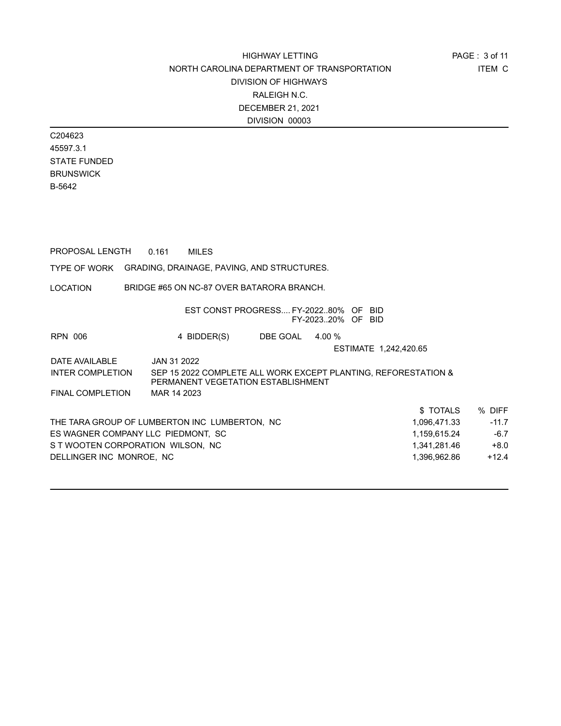C204623 45597.3.1 STATE FUNDED BRUNSWICK B-5642

| PROPOSAL LENGTH                                         | 0.161       | <b>MILES</b>                                                                                         |                 |                   |                       |              |         |
|---------------------------------------------------------|-------------|------------------------------------------------------------------------------------------------------|-----------------|-------------------|-----------------------|--------------|---------|
| TYPE OF WORK GRADING, DRAINAGE, PAVING, AND STRUCTURES. |             |                                                                                                      |                 |                   |                       |              |         |
| LOCATION                                                |             | BRIDGE #65 ON NC-87 OVER BATARORA BRANCH.                                                            |                 |                   |                       |              |         |
|                                                         |             | EST CONST PROGRESS FY-202280% OF BID                                                                 |                 | FY-202320% OF BID |                       |              |         |
| RPN 006                                                 |             | 4 BIDDER(S)                                                                                          | DBE GOAL 4.00 % |                   |                       |              |         |
|                                                         |             |                                                                                                      |                 |                   | ESTIMATE 1,242,420.65 |              |         |
| DATE AVAILABLE                                          | JAN 31 2022 |                                                                                                      |                 |                   |                       |              |         |
| INTER COMPLETION                                        |             | SEP 15 2022 COMPLETE ALL WORK EXCEPT PLANTING, REFORESTATION &<br>PERMANENT VEGETATION ESTABLISHMENT |                 |                   |                       |              |         |
| FINAL COMPLETION MAR 14 2023                            |             |                                                                                                      |                 |                   |                       |              |         |
|                                                         |             |                                                                                                      |                 |                   |                       | \$TOTALS     | % DIFF  |
| THE TARA GROUP OF LUMBERTON INC LUMBERTON, NC           |             |                                                                                                      |                 |                   |                       | 1,096,471.33 | $-11.7$ |
| ES WAGNER COMPANY LLC PIEDMONT, SC                      |             |                                                                                                      |                 |                   |                       | 1,159,615.24 | $-6.7$  |
| S T WOOTEN CORPORATION WILSON, NC                       |             |                                                                                                      |                 |                   |                       | 1,341,281.46 | $+8.0$  |
| DELLINGER INC MONROE, NC                                |             |                                                                                                      |                 |                   |                       | 1,396,962.86 | $+12.4$ |
|                                                         |             |                                                                                                      |                 |                   |                       |              |         |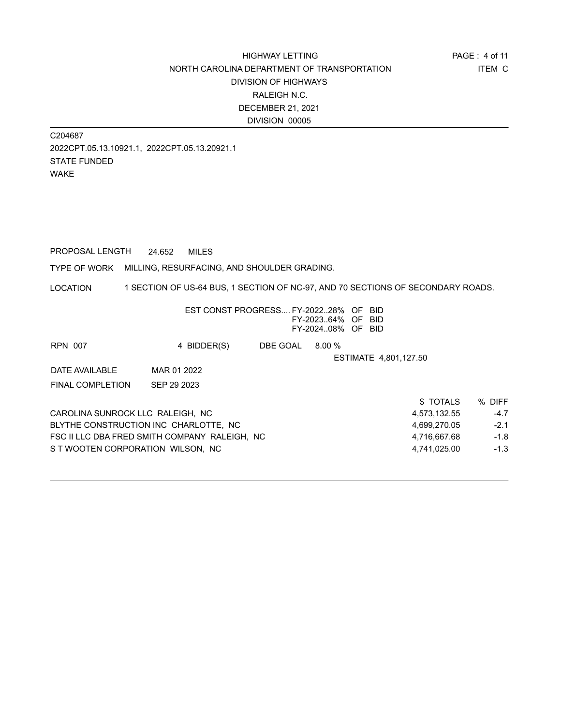C204687 2022CPT.05.13.10921.1, 2022CPT.05.13.20921.1 STATE FUNDED WAKE

PROPOSAL LENGTH 24.652 MILES

TYPE OF WORK MILLING, RESURFACING, AND SHOULDER GRADING.

LOCATION 1 SECTION OF US-64 BUS, 1 SECTION OF NC-97, AND 70 SECTIONS OF SECONDARY ROADS.

|                                               |             | EST CONST PROGRESS FY-202228% OF | FY-202364% OF<br>FY-202408% OF BID | -BID<br>- BID         |        |
|-----------------------------------------------|-------------|----------------------------------|------------------------------------|-----------------------|--------|
| <b>RPN 007</b>                                | 4 BIDDER(S) | DBE GOAL                         | 8.00%                              |                       |        |
|                                               |             |                                  |                                    | ESTIMATE 4,801,127.50 |        |
| DATE AVAILABLE                                | MAR 01 2022 |                                  |                                    |                       |        |
| <b>FINAL COMPLETION</b>                       | SEP 29 2023 |                                  |                                    |                       |        |
|                                               |             |                                  |                                    | \$TOTALS              | % DIFF |
| CAROLINA SUNROCK LLC RALEIGH. NC              |             |                                  |                                    | 4,573,132.55          | $-4.7$ |
| BLYTHE CONSTRUCTION INC CHARLOTTE. NC         |             |                                  |                                    | 4.699.270.05          | $-2.1$ |
| FSC II LLC DBA FRED SMITH COMPANY RALEIGH, NC |             |                                  |                                    | 4,716,667.68          | $-1.8$ |
| S T WOOTEN CORPORATION WILSON. NC             |             |                                  |                                    | 4.741.025.00          | $-1.3$ |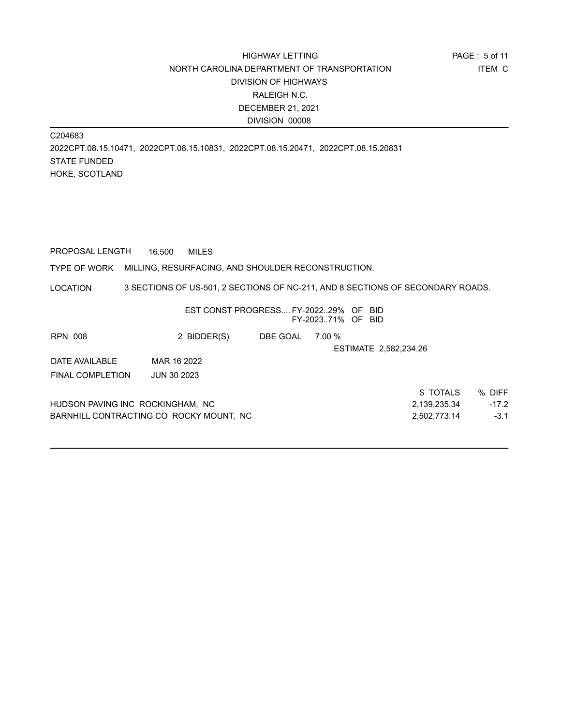C204683 2022CPT.08.15.10471, 2022CPT.08.15.10831, 2022CPT.08.15.20471, 2022CPT.08.15.20831 STATE FUNDED HOKE, SCOTLAND

PROPOSAL LENGTH 16.500 MILES

#### TYPE OF WORK MILLING, RESURFACING, AND SHOULDER RECONSTRUCTION.

LOCATION 3 SECTIONS OF US-501, 2 SECTIONS OF NC-211, AND 8 SECTIONS OF SECONDARY ROADS.

|                                   | EST CONST PROGRESS FY-202229% OF BID     |          | FY-202371% OF BID |                       |         |
|-----------------------------------|------------------------------------------|----------|-------------------|-----------------------|---------|
| RPN 008                           | 2 BIDDER(S)                              | DBE GOAL | 7.00 %            |                       |         |
|                                   |                                          |          |                   | ESTIMATE 2,582,234.26 |         |
| DATE AVAILABLE                    | MAR 16 2022                              |          |                   |                       |         |
| <b>FINAL COMPLETION</b>           | <b>JUN 30 2023</b>                       |          |                   |                       |         |
|                                   |                                          |          |                   | \$TOTALS              | % DIFF  |
| HUDSON PAVING INC_ROCKINGHAM, NC_ |                                          |          |                   | 2,139,235.34          | $-17.2$ |
|                                   | BARNHILL CONTRACTING CO_ROCKY MOUNT,_NC_ |          |                   | 2,502,773.14          | $-3.1$  |
|                                   |                                          |          |                   |                       |         |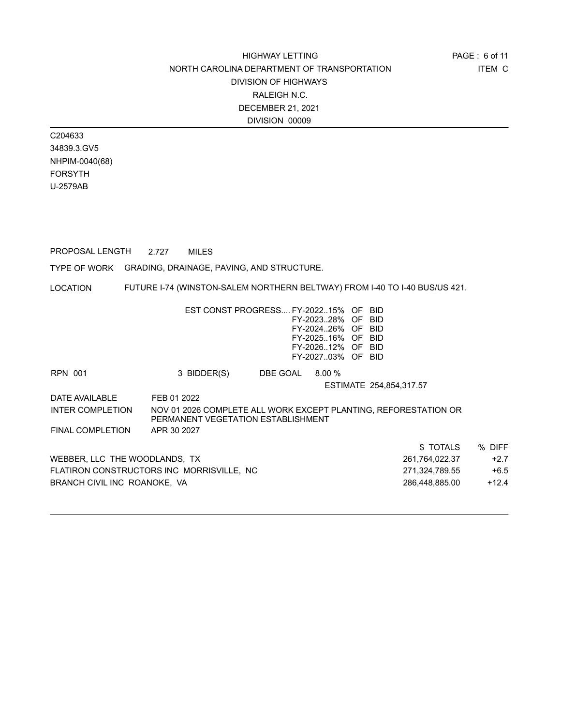C204633 34839.3.GV5 NHPIM-0040(68) FORSYTH U-2579AB

PROPOSAL LENGTH 2.727 MILES

TYPE OF WORK GRADING, DRAINAGE, PAVING, AND STRUCTURE.

LOCATION FUTURE I-74 (WINSTON-SALEM NORTHERN BELTWAY) FROM I-40 TO I-40 BUS/US 421.

|                               | EST CONST PROGRESS FY-202215% OF BID                                                                  |          | FY-202328% OF BID<br>FY-202426% OF BID<br>FY-202516% OF BID<br>FY-202612% OF BID<br>FY-202703% OF BID |                         |                |         |
|-------------------------------|-------------------------------------------------------------------------------------------------------|----------|-------------------------------------------------------------------------------------------------------|-------------------------|----------------|---------|
| RPN 001                       | 3 BIDDER(S)                                                                                           | DBE GOAL | 8.00%                                                                                                 |                         |                |         |
|                               |                                                                                                       |          |                                                                                                       | ESTIMATE 254,854,317.57 |                |         |
| DATE AVAILABLE                | FEB 01 2022                                                                                           |          |                                                                                                       |                         |                |         |
| INTER COMPLETION              | NOV 01 2026 COMPLETE ALL WORK EXCEPT PLANTING, REFORESTATION OR<br>PERMANENT VEGETATION ESTABLISHMENT |          |                                                                                                       |                         |                |         |
| <b>FINAL COMPLETION</b>       | APR 30 2027                                                                                           |          |                                                                                                       |                         |                |         |
|                               |                                                                                                       |          |                                                                                                       |                         | \$TOTALS       | % DIFF  |
| WEBBER, LLC THE WOODLANDS, TX |                                                                                                       |          |                                                                                                       |                         | 261,764,022.37 | $+2.7$  |
|                               | FLATIRON CONSTRUCTORS INC MORRISVILLE, NC                                                             |          |                                                                                                       |                         | 271,324,789.55 | $+6.5$  |
| BRANCH CIVIL INC ROANOKE, VA  |                                                                                                       |          |                                                                                                       |                         | 286,448,885.00 | $+12.4$ |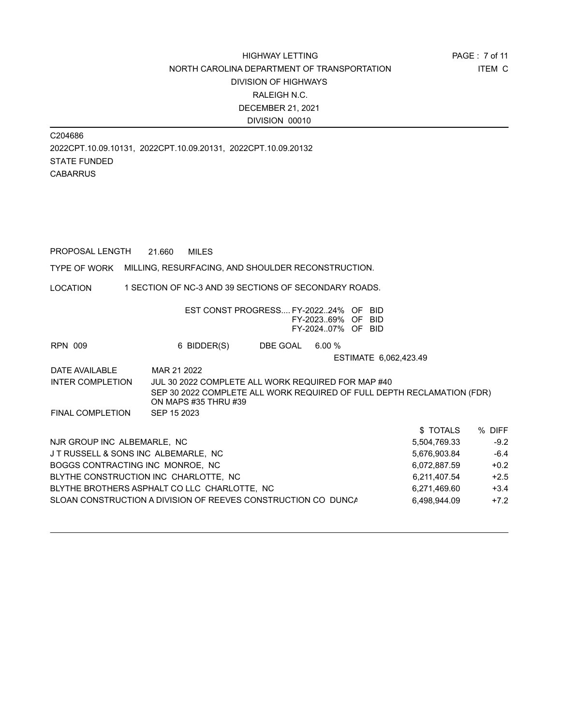C204686 2022CPT.10.09.10131, 2022CPT.10.09.20131, 2022CPT.10.09.20132 STATE FUNDED **CABARRUS** 

PROPOSAL LENGTH 21.660 MILES

TYPE OF WORK MILLING, RESURFACING, AND SHOULDER RECONSTRUCTION.

LOCATION 1 SECTION OF NC-3 AND 39 SECTIONS OF SECONDARY ROADS.

|                                      | EST CONST PROGRESS FY-202224% OF BID                                                                                                                 |                 | FY-202369% OF BID<br>FY-202407% OF BID |                       |              |        |
|--------------------------------------|------------------------------------------------------------------------------------------------------------------------------------------------------|-----------------|----------------------------------------|-----------------------|--------------|--------|
| <b>RPN 009</b>                       | 6 BIDDER(S)                                                                                                                                          | DBE GOAL 6.00 % |                                        |                       |              |        |
|                                      |                                                                                                                                                      |                 |                                        | ESTIMATE 6,062,423.49 |              |        |
| DATE AVAILABLE                       | MAR 21 2022                                                                                                                                          |                 |                                        |                       |              |        |
| <b>INTER COMPLETION</b>              | JUL 30 2022 COMPLETE ALL WORK REQUIRED FOR MAP #40<br>SEP 30 2022 COMPLETE ALL WORK REQUIRED OF FULL DEPTH RECLAMATION (FDR)<br>ON MAPS #35 THRU #39 |                 |                                        |                       |              |        |
| FINAL COMPLETION                     | SEP 15 2023                                                                                                                                          |                 |                                        |                       |              |        |
|                                      |                                                                                                                                                      |                 |                                        |                       | \$ TOTALS    | % DIFF |
| NJR GROUP INC ALBEMARLE, NC          |                                                                                                                                                      |                 |                                        |                       | 5,504,769.33 | $-9.2$ |
| J T RUSSELL & SONS INC ALBEMARLE, NC |                                                                                                                                                      |                 |                                        |                       | 5,676,903.84 | $-6.4$ |
| BOGGS CONTRACTING INC MONROE, NC     |                                                                                                                                                      |                 |                                        |                       | 6,072,887.59 | $+0.2$ |
|                                      | BLYTHE CONSTRUCTION INC CHARLOTTE, NC                                                                                                                |                 |                                        |                       | 6,211,407.54 | $+2.5$ |
|                                      | BLYTHE BROTHERS ASPHALT CO LLC CHARLOTTE, NC                                                                                                         |                 |                                        |                       | 6,271,469.60 | $+3.4$ |
|                                      | SLOAN CONSTRUCTION A DIVISION OF REEVES CONSTRUCTION CO_DUNCA                                                                                        |                 |                                        |                       | 6,498,944.09 | $+7.2$ |
|                                      |                                                                                                                                                      |                 |                                        |                       |              |        |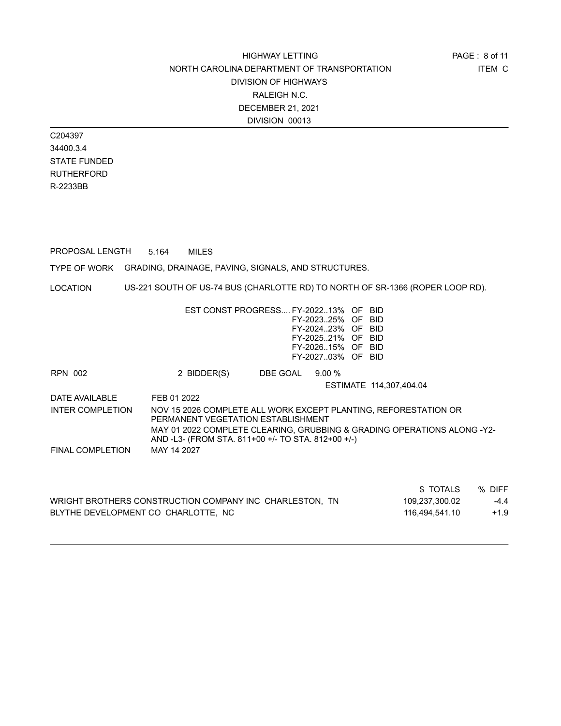C204397 34400.3.4 STATE FUNDED RUTHERFORD R-2233BB

PROPOSAL LENGTH 5.164 MILES

TYPE OF WORK GRADING, DRAINAGE, PAVING, SIGNALS, AND STRUCTURES.

LOCATION US-221 SOUTH OF US-74 BUS (CHARLOTTE RD) TO NORTH OF SR-1366 (ROPER LOOP RD).

|                  | EST CONST PROGRESS FY-202213% OF BID<br>FY-202325% OF BID<br>FY-202423% OF BID<br>FY-202521% OF BID<br>FY-202615% OF BID<br>FY-202703% OF BID |
|------------------|-----------------------------------------------------------------------------------------------------------------------------------------------|
| RPN 002          | DBE GOAL<br>$9.00\%$<br>2 BIDDER(S)                                                                                                           |
|                  | ESTIMATE 114.307.404.04                                                                                                                       |
| DATE AVAII ABI F | FFB 01 2022                                                                                                                                   |
| INTER COMPLETION | NOV 15 2026 COMPLETE ALL WORK EXCEPT PLANTING, REFORESTATION OR<br>PERMANENT VEGETATION ESTABLISHMENT                                         |
|                  | MAY 01 2022 COMPLETE CLEARING, GRUBBING & GRADING OPERATIONS ALONG -Y2-<br>AND -L3- (FROM STA. 811+00 +/- TO STA. 812+00 +/-)                 |
| FINAL COMPLETION | MAY 14 2027                                                                                                                                   |
|                  |                                                                                                                                               |

| \$TOTALS                                                                  | % DIFF |
|---------------------------------------------------------------------------|--------|
| WRIGHT BROTHERS CONSTRUCTION COMPANY INC CHARLESTON, TN<br>109,237,300.02 | $-4.4$ |
| BLYTHE DEVELOPMENT CO CHARLOTTE, NC<br>116.494.541.10                     | $+1.9$ |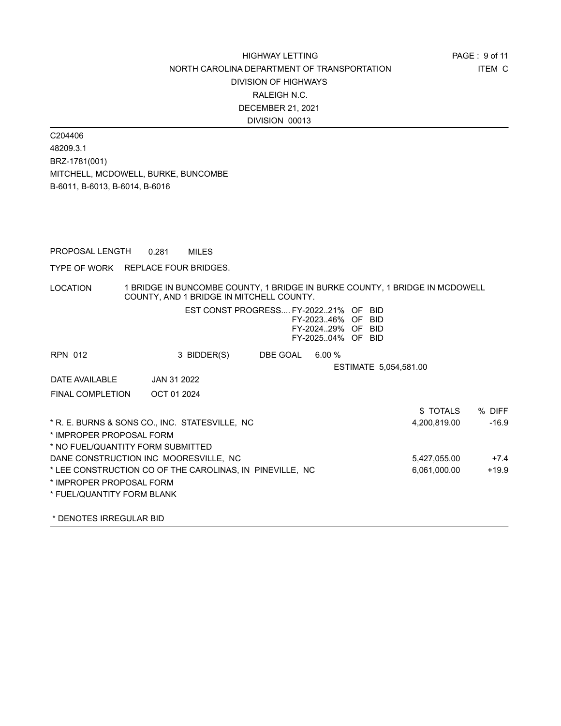C204406 48209.3.1 BRZ-1781(001) MITCHELL, MCDOWELL, BURKE, BUNCOMBE B-6011, B-6013, B-6014, B-6016

PROPOSAL LENGTH 0.281 MILES

TYPE OF WORK REPLACE FOUR BRIDGES.

LOCATION 1 BRIDGE IN BUNCOMBE COUNTY, 1 BRIDGE IN BURKE COUNTY, 1 BRIDGE IN MCDOWELL COUNTY, AND 1 BRIDGE IN MITCHELL COUNTY.

|                                       | EST CONST PROGRESS FY-202221% OF BID                     |          | FY-202346% OF BID<br>FY-202429% OF BID<br>FY-202504% OF BID |                       |              |         |
|---------------------------------------|----------------------------------------------------------|----------|-------------------------------------------------------------|-----------------------|--------------|---------|
| RPN 012                               | 3 BIDDER(S)                                              | DBE GOAL | 6.00%                                                       |                       |              |         |
|                                       |                                                          |          |                                                             | ESTIMATE 5,054,581.00 |              |         |
| DATE AVAILABLE                        | JAN 31 2022                                              |          |                                                             |                       |              |         |
| <b>FINAL COMPLETION</b>               | OCT 01 2024                                              |          |                                                             |                       |              |         |
|                                       |                                                          |          |                                                             |                       | \$TOTALS     | % DIFF  |
|                                       | * R. E. BURNS & SONS CO., INC. STATESVILLE, NC           |          |                                                             |                       | 4,200,819.00 | $-16.9$ |
| * IMPROPER PROPOSAL FORM              |                                                          |          |                                                             |                       |              |         |
| * NO FUEL/QUANTITY FORM SUBMITTED     |                                                          |          |                                                             |                       |              |         |
| DANE CONSTRUCTION INC MOORESVILLE, NC |                                                          |          |                                                             |                       | 5,427,055.00 | $+7.4$  |
|                                       | * LEE CONSTRUCTION CO OF THE CAROLINAS, IN PINEVILLE, NC |          |                                                             |                       | 6,061,000.00 | $+19.9$ |
| * IMPROPER PROPOSAL FORM              |                                                          |          |                                                             |                       |              |         |
| * FUEL/QUANTITY FORM BLANK            |                                                          |          |                                                             |                       |              |         |
|                                       |                                                          |          |                                                             |                       |              |         |

\* DENOTES IRREGULAR BID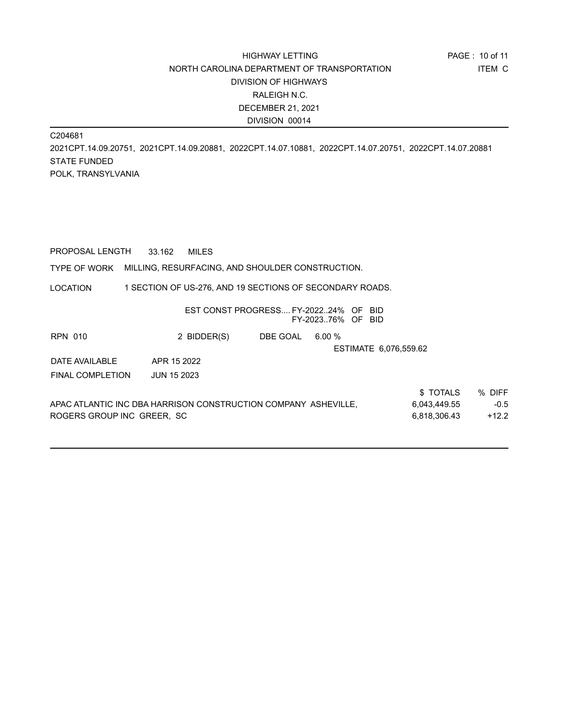C204681

2021CPT.14.09.20751, 2021CPT.14.09.20881, 2022CPT.14.07.10881, 2022CPT.14.07.20751, 2022CPT.14.07.20881 STATE FUNDED POLK, TRANSYLVANIA

PROPOSAL LENGTH 33.162 MILES

#### TYPE OF WORK MILLING, RESURFACING, AND SHOULDER CONSTRUCTION.

LOCATION 1 SECTION OF US-276, AND 19 SECTIONS OF SECONDARY ROADS.

|                                                                |                    | EST CONST PROGRESS FY-202224% OF | FY-202376% OF BID | -BID.                 |          |        |
|----------------------------------------------------------------|--------------------|----------------------------------|-------------------|-----------------------|----------|--------|
| <b>RPN 010</b>                                                 | 2 BIDDER(S)        | DBE GOAL                         | $6.00 \%$         |                       |          |        |
|                                                                |                    |                                  |                   | ESTIMATE 6,076,559.62 |          |        |
| DATE AVAILABLE                                                 | APR 15 2022        |                                  |                   |                       |          |        |
| <b>FINAL COMPLETION</b>                                        | <b>JUN 15 2023</b> |                                  |                   |                       |          |        |
|                                                                |                    |                                  |                   |                       | \$TOTALS | % DIFF |
| APAC ATLANTIC INC DBA HARRISON CONSTRUCTION COMPANY ASHEVILLE, |                    | 6,043,449.55                     | $-0.5$            |                       |          |        |
| ROGERS GROUP INC GREER, SC                                     |                    | 6.818.306.43                     | $+12.2$           |                       |          |        |